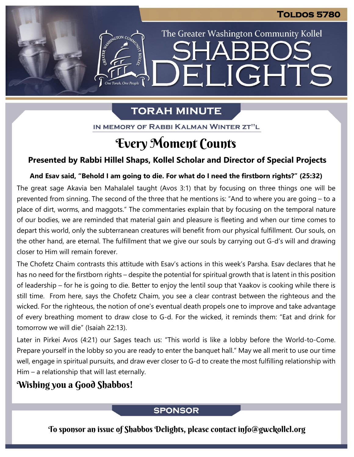The Greater Washington Community Kollel

ELIGHTS

# **TORAH MINUTE**

**The Torah**, One People

IN MEMORY OF RABBI KALMAN WINTER ZT"L

# Every Moment Counts

## **Presented by Rabbi Hillel Shaps, Kollel Scholar and Director of Special Projects**

#### **And Esav said, "Behold I am going to die. For what do I need the firstborn rights?" (25:32) From our archives**

The great sage Akavia ben Mahalalel taught (Avos 3:1) that by focusing on three things one will be prevented from sinning. The second of the three that he mentions is: "And to where you are going – to a place of dirt, worms, and maggots." The commentaries explain that by focusing on the temporal nature of our bodies, we are reminded that material gain and pleasure is fleeting and when our time comes to depart this world, only the subterranean creatures will benefit from our physical fulfillment. Our souls, on the other hand, are eternal. The fulfillment that we give our souls by carrying out G-d's will and drawing closer to Him will remain forever.

The Chofetz Chaim contrasts this attitude with Esav's actions in this week's Parsha. Esav declares that he has no need for the firstborn rights – despite the potential for spiritual growth that is latent in this position of leadership – for he is going to die. Better to enjoy the lentil soup that Yaakov is cooking while there is still time. From here, says the Chofetz Chaim, you see a clear contrast between the righteous and the wicked. For the righteous, the notion of one's eventual death propels one to improve and take advantage of every breathing moment to draw close to G-d. For the wicked, it reminds them: "Eat and drink for tomorrow we will die" (Isaiah 22:13).

Later in Pirkei Avos (4:21) our Sages teach us: "This world is like a lobby before the World-to-Come. Prepare yourself in the lobby so you are ready to enter the banquet hall." May we all merit to use our time well, engage in spiritual pursuits, and draw ever closer to G-d to create the most fulfilling relationship with Him – a relationship that will last eternally.

# Wishing you a Good Shabbos!

## **SPONSOR**

To sponsor an issue of Shabbos Delights, please contact info@gwckollel.org